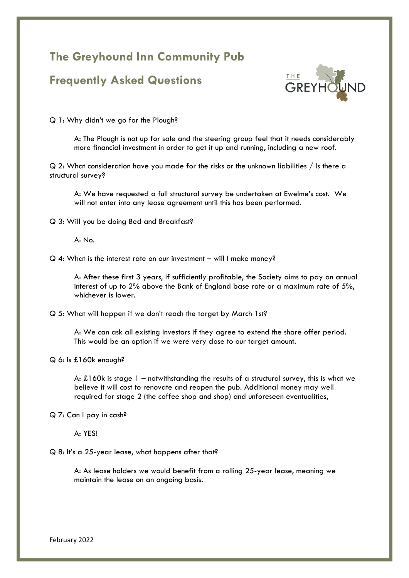## **The Greyhound Inn Community Pub**

## **Frequently Asked Questions**



Q 1: Why didn't we go for the Plough?

A: The Plough is not up for sale and the steering group feel that it needs considerably more financial investment in order to get it up and running, including a new roof.

Q 2: What consideration have you made for the risks or the unknown liabilities / Is there a structural survey?

A: We have requested a full structural survey be undertaken at Ewelme's cost. We will not enter into any lease agreement until this has been performed.

Q 3: Will you be doing Bed and Breakfast?

A: No.

Q 4: What is the interest rate on our investment – will I make money?

A: After these first 3 years, if sufficiently profitable, the Society aims to pay an annual interest of up to 2% above the Bank of England base rate or a maximum rate of 5%, whichever is lower.

Q 5: What will happen if we don't reach the target by March 1st?

A: We can ask all existing investors if they agree to extend the share offer period. This would be an option if we were very close to our target amount.

## Q 6: Is £160k enough?

A: £160k is stage  $1$  – notwithstanding the results of a structural survey, this is what we believe it will cost to renovate and reopen the pub. Additional money may well required for stage 2 (the coffee shop and shop) and unforeseen eventualities,

Q 7: Can I pay in cash?

A: YES!

Q 8: It's a 25-year lease, what happens after that?

A: As lease holders we would benefit from a rolling 25-year lease, meaning we maintain the lease on an ongoing basis.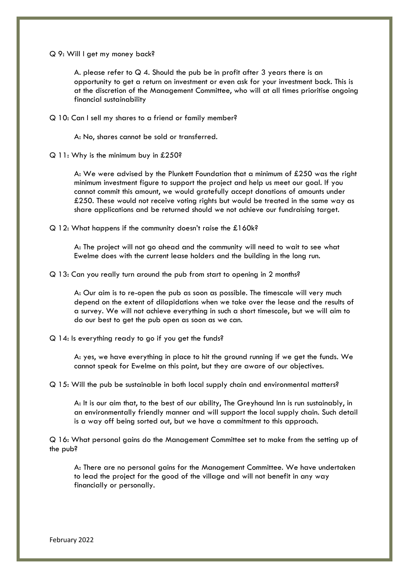Q 9: Will I get my money back?

A. please refer to  $Q$  4. Should the pub be in profit after 3 years there is an opportunity to get a return on investment or even ask for your investment back. This is at the discretion of the Management Committee, who will at all times prioritise ongoing financial sustainability

Q 10: Can I sell my shares to a friend or family member?

A: No, shares cannot be sold or transferred.

Q 11: Why is the minimum buy in £250?

A: We were advised by the Plunkett Foundation that a minimum of £250 was the right minimum investment figure to support the project and help us meet our goal. If you cannot commit this amount, we would gratefully accept donations of amounts under £250. These would not receive voting rights but would be treated in the same way as share applications and be returned should we not achieve our fundraising target.

Q 12: What happens if the community doesn't raise the £160k?

A: The project will not go ahead and the community will need to wait to see what Ewelme does with the current lease holders and the building in the long run.

Q 13: Can you really turn around the pub from start to opening in 2 months?

A: Our aim is to re-open the pub as soon as possible. The timescale will very much depend on the extent of dilapidations when we take over the lease and the results of a survey. We will not achieve everything in such a short timescale, but we will aim to do our best to get the pub open as soon as we can.

Q 14: Is everything ready to go if you get the funds?

A: yes, we have everything in place to hit the ground running if we get the funds. We cannot speak for Ewelme on this point, but they are aware of our objectives.

Q 15: Will the pub be sustainable in both local supply chain and environmental matters?

A: It is our aim that, to the best of our ability, The Greyhound Inn is run sustainably, in an environmentally friendly manner and will support the local supply chain. Such detail is a way off being sorted out, but we have a commitment to this approach.

Q 16: What personal gains do the Management Committee set to make from the setting up of the pub?

A: There are no personal gains for the Management Committee. We have undertaken to lead the project for the good of the village and will not benefit in any way financially or personally.

February 2022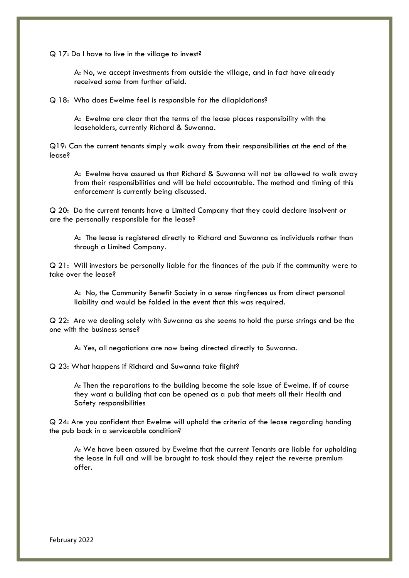Q 17: Do I have to live in the village to invest?

A: No, we accept investments from outside the village, and in fact have already received some from further afield.

Q 18: Who does Ewelme feel is responsible for the dilapidations?

A: Ewelme are clear that the terms of the lease places responsibility with the leaseholders, currently Richard & Suwanna.

Q19: Can the current tenants simply walk away from their responsibilities at the end of the lease?

A: Ewelme have assured us that Richard & Suwanna will not be allowed to walk away from their responsibilities and will be held accountable. The method and timing of this enforcement is currently being discussed.

Q 20: Do the current tenants have a Limited Company that they could declare insolvent or are the personally responsible for the lease?

A: The lease is registered directly to Richard and Suwanna as individuals rather than through a Limited Company.

Q 21: Will investors be personally liable for the finances of the pub if the community were to take over the lease?

A: No, the Community Benefit Society in a sense ringfences us from direct personal liability and would be folded in the event that this was required.

Q 22: Are we dealing solely with Suwanna as she seems to hold the purse strings and be the one with the business sense?

A: Yes, all negotiations are now being directed directly to Suwanna.

Q 23: What happens if Richard and Suwanna take flight?

A: Then the reparations to the building become the sole issue of Ewelme. If of course they want a building that can be opened as a pub that meets all their Health and Safety responsibilities

Q 24: Are you confident that Ewelme will uphold the criteria of the lease regarding handing the pub back in a serviceable condition?

A: We have been assured by Ewelme that the current Tenants are liable for upholding the lease in full and will be brought to task should they reject the reverse premium offer.